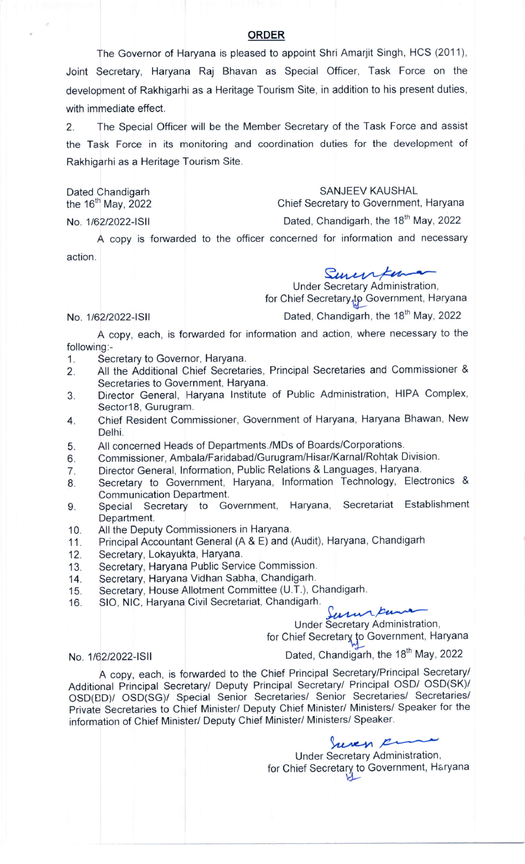## ORDER

The Governor of Haryana is pleased to appoint Shri Amarjit Singh, HCS (2011), Joint Secretary, Haryana Raj Bhavan as Special Officer, Task Force on the development of Rakhigarhi as a Heritage Tourism Site, in addition to his present duties, with immediate effect.

2. The Special Officer will be the Member Secretary of the Task Force and assist the Task Force in its monitoring and coordination duties for the development of Rakhigarhi as a Heritage Tourism Site.

Dated Chandigarh SANJEEV KAUSHAL<br>the 16<sup>th</sup> May, 2022 for the 16<sup>th</sup> May, 2022

Chief Secretary to Government, Haryana

No. 1/62/2022-ISII Dated, Chandigarh, the 18<sup>th</sup> May, 2022

A copy is forwarded to the officer concerned for information and necessary action.

Surenfor

Under Secretary Administration, for Chief Secretary to Government, Haryana

### No. 1/62/2022-ISII

Dated, Chandigarh, the 18<sup>th</sup> May, 2022

A copy, each, is forwarded for information and action, where necessary to the following:-

- 1. Secretary to Governor, Haryana.
- 2. All the Additional chief secretaries, Principal Secretaries and commissioner & Secretaries to Government, Haryana.
- 3. Director General, Haryana lnstitute of Public Administration, HIPA Complex, Sector18, Gurugram.
- 4. Chief Resident Commissioner, Government of Haryana, Haryana Bhawan, New Delhi.
- 5. All concerned Heads of Departments./MDs of Boards/Corporations.
- 6. Commissioner, Ambala/Faridabad/Gurugram/Hisar/Karnal/Rohtak Division.<br>7. Director General, Information, Public Relations & Languages, Haryana.
- Director General, Information, Public Relations & Languages, Haryana.
- 8. Secretary to Government, Haryana, lnformation Technology, Electronics & Communication Department.
- 9. Special Secretary to Government, Haryana, Secretariat Establishment Department.
- 10. All the Deputy Commissioners in Haryana.
- 11. Principal Accountant General (A & E) and (Audit), Haryana, Chandigarh<br>12. Secretary, Lokayukta, Haryana.
- Secretary, Lokayukta, Haryana.
- 13. Secretary, Haryana Public Service Commission.<br>14. Secretary, Haryana Vidhan Sabha, Chandigarh.
- 
- 14. Secretary, Haryana Vidhan Sabha, Chandigarh.<br>15. Secretary, House Allotment Committee (U.T.), C 15. Secretary, House Allotment Committee (U.T.), Chandigarh.<br>16. SIO, NIC, Haryana Civil Secretariat, Chandigarh.
- 16. Sio, NIC, Haryana Civil Secretariat, Chandigarh.<br>16. SIO, NIC, Haryana Civil Secretariat, Chandigarh.

Under Secretary Administration,

for Chief Secretary to Government, Haryana

### No. 116212022-15ll

Dated, Chandigarh, the 18<sup>th</sup> May, 2022

A copy, each, is forwarded to the Chief Principal Secretary/Principal Secretary/ Additional Principal Secretary/ Deputy Principal Secretary/ Principal OSD/ OSD(SK)/ OSD(ED)/ OSD(SG)/ Special Senior Secretaries/ Senior Secretaries/ Secretaries/ Private Secretaries to Chief Minister/ Deputy Chief Minister/ Ministers/ Speaker for the information of Chief Minister/ Deputy Chief Minister/ Ministers/ Speaker.

> non en Under Secretary Administration, for Chief Secretary to Government, Haryana